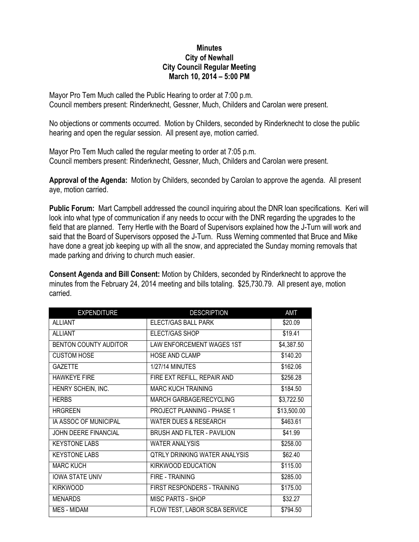## **Minutes City of Newhall City Council Regular Meeting March 10, 2014 – 5:00 PM**

Mayor Pro Tem Much called the Public Hearing to order at 7:00 p.m. Council members present: Rinderknecht, Gessner, Much, Childers and Carolan were present.

No objections or comments occurred. Motion by Childers, seconded by Rinderknecht to close the public hearing and open the regular session. All present aye, motion carried.

Mayor Pro Tem Much called the regular meeting to order at 7:05 p.m. Council members present: Rinderknecht, Gessner, Much, Childers and Carolan were present.

**Approval of the Agenda:** Motion by Childers, seconded by Carolan to approve the agenda. All present aye, motion carried.

**Public Forum:** Mart Campbell addressed the council inquiring about the DNR loan specifications. Keri will look into what type of communication if any needs to occur with the DNR regarding the upgrades to the field that are planned. Terry Hertle with the Board of Supervisors explained how the J-Turn will work and said that the Board of Supervisors opposed the J-Turn. Russ Werning commented that Bruce and Mike have done a great job keeping up with all the snow, and appreciated the Sunday morning removals that made parking and driving to church much easier.

**Consent Agenda and Bill Consent:** Motion by Childers, seconded by Rinderknecht to approve the minutes from the February 24, 2014 meeting and bills totaling. \$25,730.79. All present aye, motion carried.

| <b>EXPENDITURE</b>     | <b>DESCRIPTION</b>                   | AMT         |
|------------------------|--------------------------------------|-------------|
| <b>ALLIANT</b>         | ELECT/GAS BALL PARK                  | \$20.09     |
| <b>ALLIANT</b>         | ELECT/GAS SHOP                       | \$19.41     |
| BENTON COUNTY AUDITOR  | LAW ENFORCEMENT WAGES 1ST            | \$4,387.50  |
| <b>CUSTOM HOSE</b>     | <b>HOSE AND CLAMP</b>                | \$140.20    |
| <b>GAZETTE</b>         | <b>1/27/14 MINUTES</b>               | \$162.06    |
| <b>HAWKEYE FIRE</b>    | FIRE EXT REFILL, REPAIR AND          | \$256.28    |
| HENRY SCHEIN, INC.     | <b>MARC KUCH TRAINING</b>            | \$184.50    |
| <b>HERBS</b>           | MARCH GARBAGE/RECYCLING              | \$3,722.50  |
| <b>HRGREEN</b>         | PROJECT PLANNING - PHASE 1           | \$13,500.00 |
| IA ASSOC OF MUNICIPAL  | <b>WATER DUES &amp; RESEARCH</b>     | \$463.61    |
| JOHN DEERE FINANCIAL   | <b>BRUSH AND FILTER - PAVILION</b>   | \$41.99     |
| <b>KEYSTONE LABS</b>   | <b>WATER ANALYSIS</b>                | \$258.00    |
| <b>KEYSTONE LABS</b>   | <b>QTRLY DRINKING WATER ANALYSIS</b> | \$62.40     |
| <b>MARC KUCH</b>       | KIRKWOOD EDUCATION                   | \$115.00    |
| <b>IOWA STATE UNIV</b> | <b>FIRE - TRAINING</b>               | \$285.00    |
| <b>KIRKWOOD</b>        | FIRST RESPONDERS - TRAINING          | \$175.00    |
| <b>MENARDS</b>         | <b>MISC PARTS - SHOP</b>             | \$32.27     |
| <b>MES - MIDAM</b>     | FLOW TEST, LABOR SCBA SERVICE        | \$794.50    |